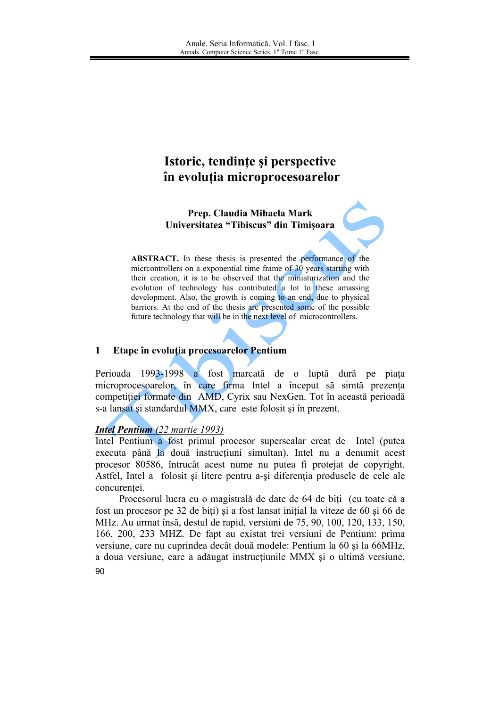# Istoric, tendințe și perspective în evoluția microprocesoarelor

Prep. Claudia Mihaela Mark Universitatea "Tibiscus" din Timișoara

**ABSTRACT.** In these thesis is presented the performance of the microontrollers on a exponential time frame of 30 years starting with their creation, it is to be observed that the miniaturization and the evolution of technology has contributed a lot to these amassing development. Also, the growth is coming to an end, due to physical barriers. At the end of the thesis are presented some of the possible future technology that will be in the next level of microcontrollers.

#### $\mathbf{1}$ Etape în evoluția procesoarelor Pentium

Perioada 1993-1998 a fost marcată de o luptă dură pe piata microprocesoarelor, în care firma Intel a început să simtă prezența competitiei formate din AMD, Cyrix sau NexGen. Tot în această perioadă s-a lansat și standardul MMX, care este folosit și în prezent.

## **Intel Pentium** (22 martie 1993)

Intel Pentium a fost primul procesor superscalar creat de Intel (putea executa până la două instrucțiuni simultan). Intel nu a denumit acest procesor 80586, întrucât acest nume nu putea fi proteiat de convright. Astfel, Intel a folosit și litere pentru a-și diferenția produsele de cele ale concurentei.

Procesorul lucra cu o magistrală de date de 64 de biti (cu toate că a fost un procesor pe 32 de biti) și a fost lansat initial la viteze de 60 și 66 de MHz. Au urmat însă, destul de rapid, versiuni de 75, 90, 100, 120, 133, 150, 166, 200, 233 MHZ. De fapt au existat trei versiuni de Pentium: prima versiune, care nu cuprindea decât două modele: Pentium la 60 și la 66MHz, a doua versiune, care a adăugat instructiunile MMX și o ultimă versiune,  $90^{\circ}$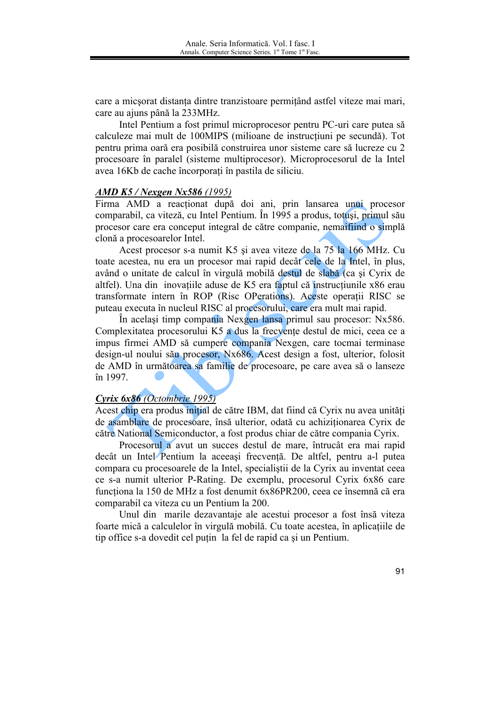care a micsorat distanta dintre tranzistoare permitând astfel viteze mai mari, care au ajuns până la 233MHz.

Intel Pentium a fost primul microprocesor pentru PC-uri care putea să calculeze mai mult de 100MIPS (milioane de instrucțiuni pe secundă). Tot pentru prima oară era posibilă construirea unor sisteme care să lucreze cu 2 procesoare în paralel (sisteme multiprocesor). Microprocesorul de la Intel avea 16Kb de cache încorporati în pastila de siliciu.

### **AMD K5 / Nexgen Nx586 (1995)**

Firma AMD a reacționat după doi ani, prin lansarea unui procesor comparabil, ca viteză, cu Intel Pentium. În 1995 a produs, totuși, primul său procesor care era conceput integral de către companie, nemaifiind o simplă clonă a procesoarelor Intel.

Acest procesor s-a numit K5 și avea viteze de la 75 la 166 MHz. Cu toate acestea, nu era un procesor mai rapid decât cele de la Intel, în plus, având o unitate de calcul în virgulă mobilă destul de slabă (ca și Cyrix de altfel). Una din inovatiile aduse de K5 era faptul că instructiunile x86 erau transformate intern în ROP (Risc OPerations). Aceste operații RISC se puteau executa în nucleul RISC al procesorului, care era mult mai rapid.

În acelasi timp compania Nexgen lansa primul sau procesor: Nx586. Complexitatea procesorului K5 a dus la frecvente destul de mici, ceea ce a impus firmei AMD să cumpere compania Nexgen, care tocmai terminase design-ul noului său procesor, Nx686. Acest design a fost, ulterior, folosit de AMD în următoarea sa familie de procesoare, pe care avea să o lanseze în 1997.

#### Cyrix 6x86 (Octombrie 1995)

Acest chip era produs initial de către IBM, dat fiind că Cyrix nu avea unităti de asamblare de procesoare, însă ulterior, odată cu achizitionarea Cyrix de către National Semiconductor, a fost produs chiar de către compania Cyrix.

Procesorul a avut un succes destul de mare, întrucât era mai rapid decât un Intel Pentium la aceeasi frecventă. De altfel, pentru a-l putea compara cu procesoarele de la Intel, specialistii de la Cyrix au inventat ceea ce s-a numit ulterior P-Rating. De exemplu, procesorul Cyrix 6x86 care functiona la 150 de MHz a fost denumit 6x86PR200, ceea ce însemnă că era comparabil ca viteza cu un Pentium la 200.

Unul din marile dezavantaje ale acestui procesor a fost însă viteza foarte mică a calculelor în virgulă mobilă. Cu toate acestea, în aplicațiile de tip office s-a dovedit cel putin la fel de rapid ca si un Pentium.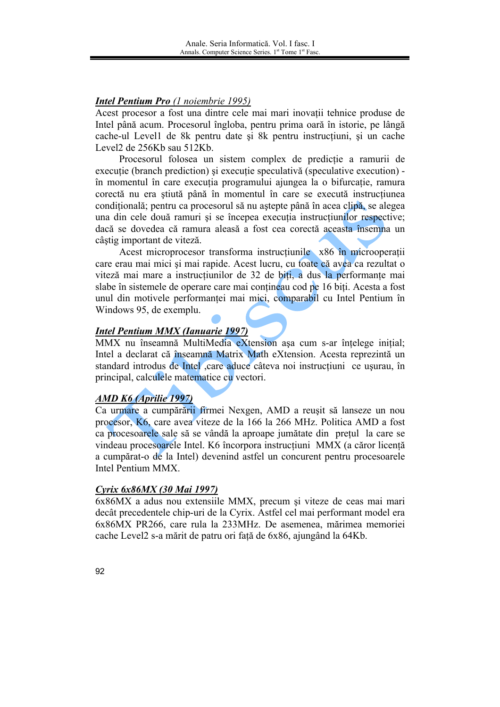## **Intel Pentium Pro** (1 noiembrie 1995)

Acest procesor a fost una dintre cele mai mari inovatii tehnice produse de Intel până acum. Procesorul îngloba, pentru prima oară în istorie, pe lângă cache-ul Level1 de 8k pentru date și 8k pentru instrucțiuni, și un cache Level2 de 256Kb sau 512Kb.

Procesorul folosea un sistem complex de predicție a ramurii de executie (branch prediction) și executie speculativă (speculative execution) în momentul în care executia programului ajungea la o bifurcatie, ramura corectă nu era știută până în momentul în care se execută instrucțiunea condițională; pentru ca procesorul să nu aștepte până în acea clipă, se alegea una din cele două ramuri și se începea execuția instrucțiunilor respective; daçã se dovedea că ramura aleasă a fost cea corectă aceasta însemna un câștig important de viteză.

Acest microprocesor transforma instructiunile x86 în microoperatii care erau mai mici si mai rapide. Acest lucru, cu toate că avea ca rezultat o viteză mai mare a instrucțiunilor de 32 de biți, a dus la performanțe mai slabe în sistemele de operare care mai contineau cod pe 16 biti. Acesta a fost unul din motivele performanței mai mici, comparabil cu Intel Pentium în Windows 95, de exemplu.

## **Intel Pentium MMX (Ianuarie 1997)**

MMX nu înseamnă MultiMedia eXtension așa cum s-ar înțelege inițial; Intel a declarat că înseamnă Matrix Math eXtension. Acesta reprezintă un standard introdus de Intel care aduce câteva noi instructiuni ce usurau, în principal, calculele matematice cu vectori.

## **AMD K6 (Aprilie 1997)**

Ca urmare a cumpărării firmei Nexgen, AMD a reușit să lanseze un nou procesor, K6, care avea viteze de la 166 la 266 MHz. Politica AMD a fost ca procesoarele sale să se vândă la aproape jumătate din pretul la care se vindeau procesoarele Intel. K6 încorpora instrucțiuni MMX (a căror licență a cumpărat-o de la Intel) devenind astfel un concurent pentru procesoarele Intel Pentium MMX.

## Cyrix 6x86MX (30 Mai 1997)

6x86MX a adus nou extensiile MMX, precum si viteze de ceas mai mari decât precedentele chip-uri de la Cyrix. Astfel cel mai performant model era 6x86MX PR266, care rula la 233MHz. De asemenea, mărimea memoriei cache Level2 s-a mărit de patru ori față de 6x86, ajungând la 64Kb.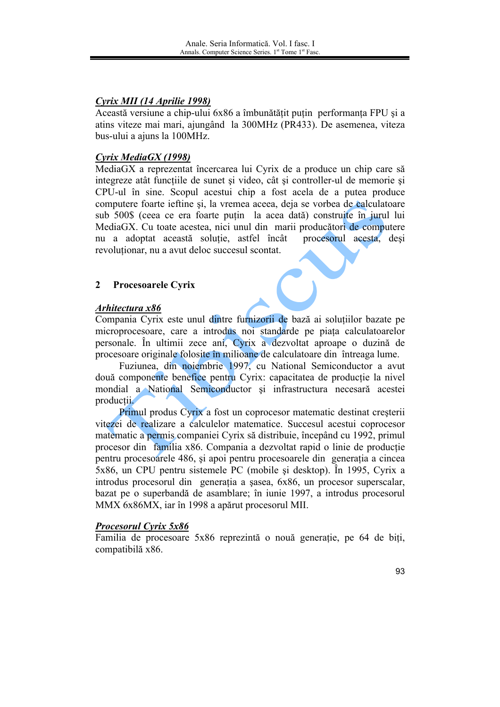## Cyrix MII (14 Aprilie 1998)

Această versiune a chip-ului 6x86 a îmbunătățit puțin performanța FPU și a atins viteze mai mari, ajungând la 300MHz (PR433). De asemenea, viteza bus-ului a ajuns la 100MHz.

## Cyrix MediaGX (1998)

MediaGX a reprezentat încercarea lui Cyrix de a produce un chip care să integreze atât functiile de sunet si video, cât si controller-ul de memorie si CPU-ul în sine. Scopul acestui chip a fost acela de a putea produce computere foarte ieftine și, la vremea aceea, deja se vorbea de calculatoare sub 500\$ (ceea ce era foarte puțin la acea dată) construite în jurul lui MediaGX. Cu toate acestea, nici unul din marii producători de computere nu a adoptat această soluție, astfel încât procesorul acesta, deși revolutionar, nu a avut deloc succesul scontat.

#### $\overline{2}$ **Procesoarele Cyrix**

## Arhitectura x86

Compania Cyrix este unul dintre furnizorii de bază ai solutiilor bazate pe microprocesoare, care a introdus noi standarde pe piața calculatoarelor personale. În ultimii zece ani, Cyrix a dezvoltat aproape o duzină de procesoare originale folosite în milioane de calculatoare din întreaga lume.

Fuziunea, din noiembrie 1997, cu National Semiconductor a avut două componente benefice pentru Cyrix: capacitatea de producție la nivel mondial a National Semiconductor și infrastructura necesară acestei producții.

Primul produs Cyrix a fost un coprocesor matematic destinat creșterii vitezei de realizare a calculelor matematice. Succesul acestui coprocesor matematic a permis companiei Cyrix să distribuie, începând cu 1992, primul procesor din familia x86. Compania a dezvoltat rapid o linie de productie pentru procesoarele 486, și apoi pentru procesoarele din generatia a cincea 5x86, un CPU pentru sistemele PC (mobile și desktop). În 1995, Cyrix a introdus procesorul din generația a șasea, 6x86, un procesor superscalar, bazat pe o superbandă de asamblare; în iunie 1997, a introdus procesorul MMX 6x86MX, iar în 1998 a apărut procesorul MII.

## **Procesorul Cyrix 5x86**

Familia de procesoare 5x86 reprezintă o nouă generatie, pe 64 de biti, compatibilă x86.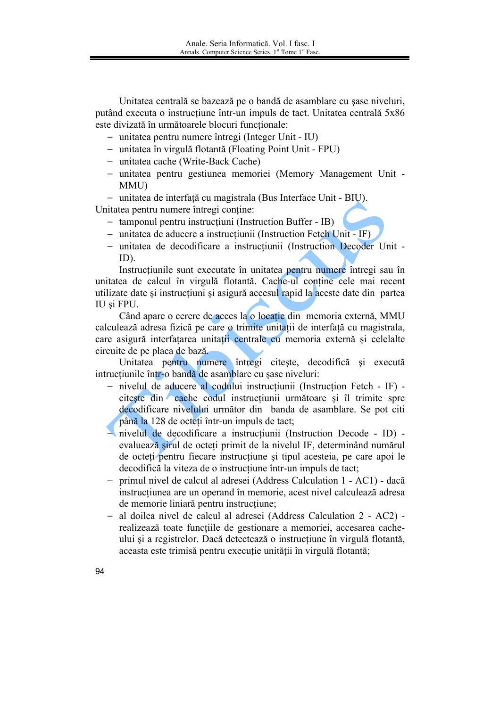Unitatea centrală se bazează pe o bandă de asamblare cu sase niveluri, putând executa o instructiune într-un impuls de tact. Unitatea centrală 5x86 este divizată în următoarele blocuri functionale:

- unitatea pentru numere întregi (Integer Unit IU)
- unitatea în virgulă flotantă (Floating Point Unit FPU)
- unitatea cache (Write-Back Cache)
- unitatea pentru gestiunea memoriei (Memory Management Unit -**MMU**
- unitatea de interfată cu magistrala (Bus Interface Unit BIU).

Unitatea pentru numere întregi contine:

- tamponul pentru instrucțiuni (Instruction Buffer IB)
- unitatea de aducere a instrucțiunii (Instruction Fetch Unit IF)
- unitatea de decodificare a instructiunii (Instruction Decoder Unit - $ID$ ).

Instrucțiunile sunt executate în unitatea pentru numere întregi sau în unitatea de calcul în virgulă flotantă. Cache-ul contine cele mai recent utilizate date și instrucțiuni și asigură accesul rapid la aceste date din partea IU și FPU.

Când apare o cerere de acces la o locație din memoria externă, MMU calculează adresa fizică pe care o trimite unitatii de interfață cu magistrala, care asigură interfațarea unitații centrale cu memoria externă și celelalte circuite de pe placa de bază.

Unitatea pentru numere întregi citește, decodifică și execută intructiunile într-o bandă de asamblare cu sase niveluri:

- nivelul de aducere al codului instructiunii (Instruction Fetch IF) citeste din cache codul instrucțiunii următoare și îl trimite spre decodificare nivelului următor din banda de asamblare. Se pot citi până la 128 de octeti într-un impuls de tact;
- nivelul de decodificare a instructiunii (Instruction Decode ID) evaluează șirul de octeți primit de la nivelul IF, determinând numărul de octeti pentru fiecare instructiune și tipul acesteia, pe care apoi le decodifică la viteza de o instrucțiune într-un impuls de tact;
- primul nivel de calcul al adresei (Address Calculation 1 AC1) dacă  $\equiv$ instructiunea are un operand în memorie, acest nivel calculează adresa de memorie liniară pentru instructiune:
- al doilea nivel de calcul al adresei (Address Calculation 2 AC2) - $\equiv$ realizează toate funcțiile de gestionare a memoriei, accesarea cacheului si a registrelor. Daçă detectează o instructiune în virgulă flotantă. aceasta este trimisă pentru execuție unității în virgulă flotantă;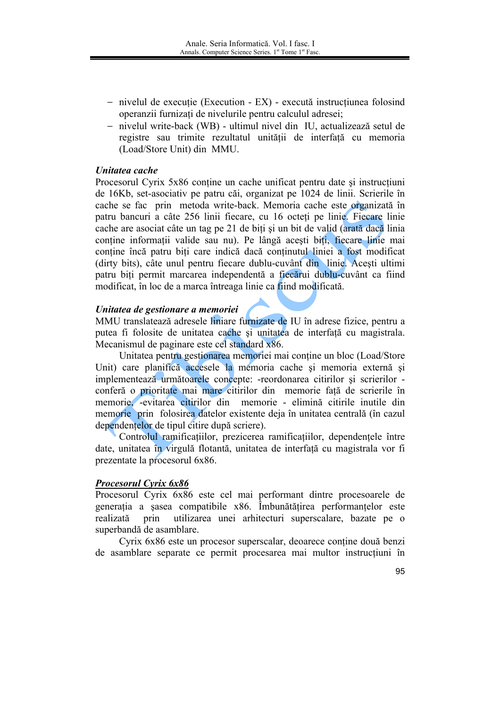- nivelul de executie (Execution EX) execută instructiunea folosind operanzii furnizați de nivelurile pentru calculul adresei;
- nivelul write-back (WB) ultimul nivel din IU, actualizează setul de registre sau trimite rezultatul unitătii de interfată cu memoria (Load/Store Unit) din MMU.

### Unitatea cache

Procesorul Cyrix 5x86 contine un cache unificat pentru date și instrucțiuni de 16Kb, set-asociativ pe patru căi, organizat pe 1024 de linii. Scrierile în cache se fac prin metoda write-back. Memoria cache este organizată în patru bancuri a câte 256 linii fiecare, cu 16 octeti pe linie. Fiecare linie cache are asociat câte un tag pe 21 de biți și un bit de valid (arată dacă linia conține informații valide sau nu). Pe lângă acești biți, fiecare linie mai contine încă patru biti care indică dacă continutul liniei a fost modificat (dirty bits), câte unul pentru fiecare dublu-cuvânt din linie. Acesti ultimi patru biti permit marcarea independentă a fiecărui dublu-cuvânt ca fiind modificat, în loc de a marca întreaga linie ca fiind modificată.

### Unitatea de gestionare a memoriei

MMU translatează adresele liniare furnizate de IU în adrese fizice, pentru a putea fi folosite de unitatea cache și unitatea de interfață cu magistrala. Mecanismul de paginare este cel standard x86.

Unitatea pentru gestionarea memoriei mai contine un bloc (Load/Store Unit) care planifică accesele la memoria cache și memoria externă și implementează următoarele concepte: -reordonarea citirilor și scrierilor conferă o prioritate mai mare citirilor din memorie față de scrierile în memorie, -evitarea citirilor din memorie - elimină citirile inutile din memorie prin folosirea datelor existente deja în unitatea centrală (în cazul dependentelor de tipul citire după scriere).

Controlul ramificatiilor, prezicerea ramificatiilor, dependentele între date, unitatea în virgulă flotantă, unitatea de interfață cu magistrala vor fi prezentate la procesorul 6x86.

## **Procesorul Cyrix 6x86**

Procesorul Cyrix 6x86 este cel mai performant dintre procesoarele de generatia a sasea compatibile x86. Îmbunătătirea performantelor este realizată prin utilizarea unei arhitecturi superscalare, bazate pe o superbandă de asamblare.

Cyrix 6x86 este un procesor superscalar, deoarece contine două benzi de asamblare separate ce permit procesarea mai multor instructiuni în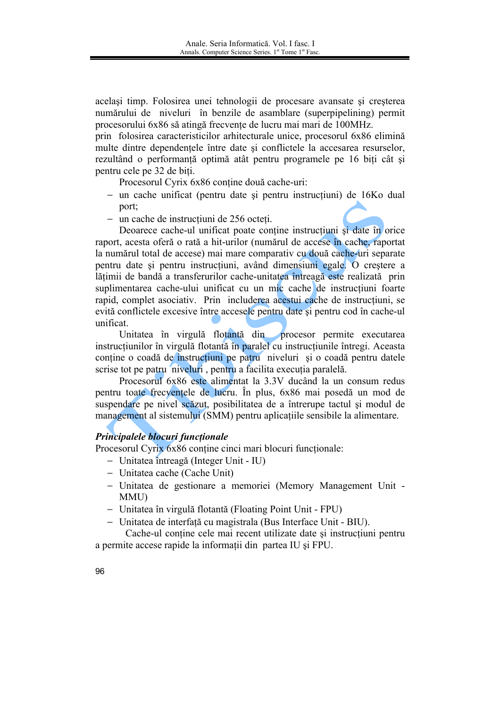același timp. Folosirea unei tehnologii de procesare avansate și creșterea numărului de niveluri în benzile de asamblare (superpipelining) permit procesorului 6x86 să atingă frecvente de lucru mai mari de 100MHz.

prin folosirea caracteristicilor arhitecturale unice, procesorul 6x86 elimină multe dintre dependentele între date și conflictele la accesarea resurselor, rezultând o performanță optimă atât pentru programele pe 16 biți cât și pentru cele pe 32 de biti.

Procesorul Cyrix 6x86 conține două cache-uri:

- un cache unificat (pentru date și pentru instrucțiuni) de 16Ko dual port;
- $-$  un cache de instructiuni de 256 octeti.

Deoarece cache-ul unificat poate contine instructiuni si date în orice raport, acesta oferă o rată a hit-urilor (numărul de accese în cache, raportat la numărul total de accese) mai mare comparativ cu două cache-uri separate pentru date și pentru instrucțiuni, având dimensiuni egale. O creștere a lătimii de bandă a transferurilor cache-unitatea întreagă este realizată prin suplimentarea cache-ului unificat cu un mic cache de instrucțiuni foarte rapid, complet asociativ. Prin includerea acestui cache de instructiuni, se evită conflictele excesive între accesele pentru date și pentru cod în cache-ul unificat.

Unitatea în virgulă flotantă din procesor permite executarea instructiunilor în virgulă flotanță în paralel cu instructiunile întregi. Aceasta contine o coadă de instructiuni pe patru niveluri si o coadă pentru datele scrise tot pe patru niveluri, pentru a facilita executia paralelă.

Procesorul 6x86 este alimentat la 3.3V ducând la un consum redus pentru toate frecventele de lucru. În plus, 6x86 mai posedă un mod de suspendare pe nivel scăzut, posibilitatea de a întrerupe tactul și modul de management al sistemului (SMM) pentru aplicatiile sensibile la alimentare.

## Principalele blocuri functionale

Procesorul Cyrix 6x86 conține cinci mari blocuri funcționale:

- Unitatea întreagă (Integer Unit IU)
- Unitatea cache (Cache Unit)
- Unitatea de gestionare a memoriei (Memory Management Unit -MMU)
- Unitatea în virgulă flotantă (Floating Point Unit FPU)
- Unitatea de interfată cu magistrala (Bus Interface Unit BIU).

Cache-ul contine cele mai recent utilizate date și instrucțiuni pentru a permite accese rapide la informații din partea IU și FPU.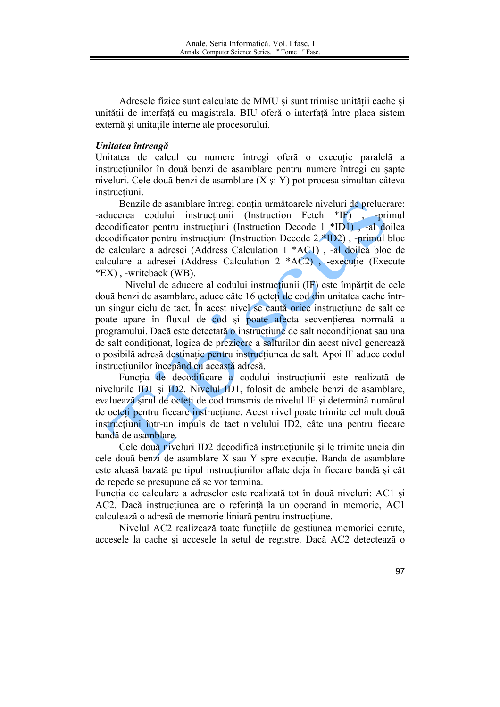Adresele fizice sunt calculate de MMU și sunt trimise unității cache și unității de interfață cu magistrala. BIU oferă o interfață între placa sistem externă și unitatile interne ale procesorului.

### Unitatea întreagă

Unitatea de calcul cu numere întregi oferă o executie paralelă a instructiunilor în două benzi de asamblare pentru numere întregi cu sapte niveluri. Cele două benzi de asamblare (X si Y) pot procesa simultan câteva instructiuni.

Benzile de asamblare întregi conțin următoarele niveluri de prelucrare: -aducerea codului instrucțiunii (Instruction Fetch \*IF), -primul decodificator pentru instrucțiuni (Instruction Decode 1 \*ID1), -al doilea decodificator pentru instructiuni (Instruction Decode  $2*ID2$ ), -primul bloc de calculare a adresei (Address Calculation 1 \*AC1), -al doilea bloc de calculare a adresei (Address Calculation 2 \*AC2), -executie (Execute \*EX), -writeback (WB).

Nivelul de aducere al codului instructiunii (IF) este împărțit de cele două benzi de asamblare, aduce câte 16 octeti de cod din unitatea cache întrun singur ciclu de tact. În acest nivel se caută orice instructiune de salt ce poate apare în fluxul de cod si poate afecta secventierea normală a programului. Dacă este detectată o instrucțiune de salt necondiționat sau una de salt conditionat, logica de prezicere a salturilor din acest nivel generează o posibilă adresă destinatie pentru instructiunea de salt. Apoi IF aduce codul instructiunilor începând cu această adresă.

Funcția de decodificare a codului instrucțiunii este realizată de nivelurile ID1 și ID2. Nivelul ID1, folosit de ambele benzi de asamblare, evaluează sirul de octeti de cod transmis de nivelul IF și determină numărul de octeti pentru fiecare instructiune. Acest nivel poate trimite cel mult două instructiuni într-un impuls de tact nivelului ID2, câte una pentru fiecare bandă de asamblare.

Cele două niveluri ID2 decodifică instructiunile și le trimite uneia din cele două benzi de asamblare X sau Y spre executie. Banda de asamblare este aleasă bazată pe tipul instrucțiunilor aflate deja în fiecare bandă și cât de repede se presupune că se vor termina.

Functia de calculare a adreselor este realizată tot în două niveluri: AC1 și AC2. Dacă instructiunea are o referintă la un operand în memorie, AC1 calculează o adresă de memorie liniară pentru instrucțiune.

Nivelul AC2 realizează toate functiile de gestiunea memoriei cerute. accesele la cache si accesele la setul de registre. Dacă AC2 detectează o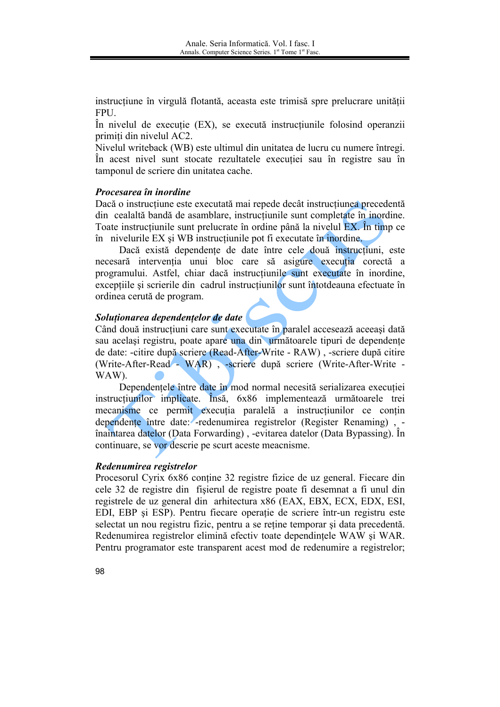instructiune în virgulă flotantă, aceasta este trimisă spre prelucrare unității FPU.

În nivelul de execuție (EX), se execută instrucțiunile folosind operanzii primiti din nivelul AC2.

Nivelul writeback (WB) este ultimul din unitatea de lucru cu numere întregi. În acest nivel sunt stocate rezultatele execuției sau în registre sau în tamponul de scriere din unitatea cache.

### Procesarea în inordine

Dacă o instrucțiune este executată mai repede decât instrucțiunea precedentă din cealaltă bandă de asamblare, instrucțiunile sunt completate în inordine. Toate instrucțiunile sunt prelucrate în ordine până la nivelul EX. În timp ce în nivelurile EX și WB instrucțiunile pot fi executate în inordine.

Dacă există dependente de date între cele două instrucțiuni, este necesară intervenția unui bloc care să asigure execuția corectă a programului. Astfel, chiar dacă instrucțiunile sunt executate în inordine, exceptiile și scrierile din cadrul instrucțiunilor sunt întotdeauna efectuate în ordinea cerută de program.

## Soluționarea dependențelor de date

Când două instructiuni care sunt executate în paralel accesează aceeasi dată sau același registru, poate apare una din următoarele tipuri de dependente de date: -citire după scriere (Read-After-Write - RAW), -scriere după citire (Write-After-Read - WAR), -scriere după scriere (Write-After-Write -WAW).

Dependențele între date în mod normal necesită serializarea execuției instrucțiunilor implicate. Insă, 6x86 implementează următoarele trei mecanisme ce permit execuția paralelă a instrucțiunilor ce conțin dependente între date: - redenumirea registrelor (Register Renaming), înaintarea datelor (Data Forwarding), -evitarea datelor (Data Bypassing). În continuare, se vor descrie pe scurt aceste meacnisme.

## Redenumirea registrelor

Procesorul Cyrix 6x86 contine 32 registre fizice de uz general. Fiecare din cele 32 de registre din fisierul de registre poate fi desemnat a fi unul din registrele de uz general din arhitectura x86 (EAX, EBX, ECX, EDX, ESI, EDI, EBP și ESP). Pentru fiecare operație de scriere într-un registru este selectat un nou registru fizic, pentru a se reține temporar și data precedentă. Redenumirea registrelor elimină efectiv toate dependințele WAW și WAR. Pentru programator este transparent acest mod de redenumire a registrelor;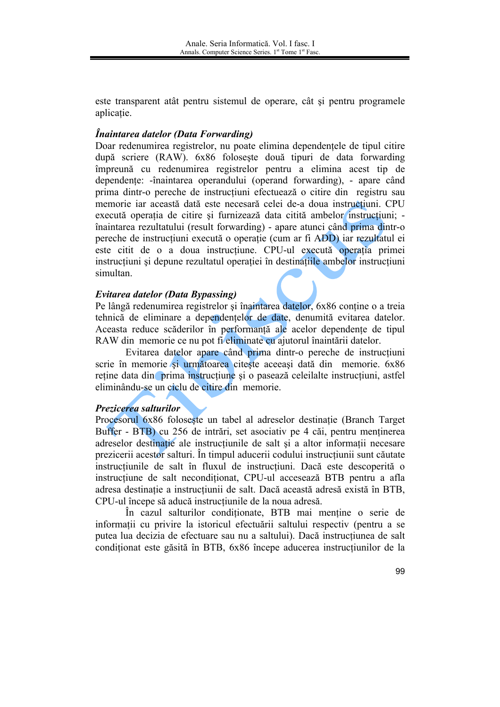este transparent atât pentru sistemul de operare, cât și pentru programele aplicatie.

## Înaintarea datelor (Data Forwarding)

Doar redenumirea registrelor, nu poate elimina dependentele de tipul citire după scriere (RAW). 6x86 foloseste două tipuri de data forwarding împreună cu redenumirea registrelor pentru a elimina acest tip de dependente: -înaintarea operandului (operand forwarding), - apare când prima dintr-o pereche de instrucțiuni efectuează o citire din registru sau memorie iar această dată este necesară celei de-a doua instrucțiuni. CPU execută operația de citire și furnizează data citită ambelor instrucțiuni; înaintarea rezultatului (result forwarding) - apare atunci când prima dintr-o pereche de instructiuni execută o operatie (cum ar fi ADD) iar rezultatul ei este citit de o a doua instructiune. CPU-ul execută operația primei instructiuni și depune rezultatul operației în destinațiile ambelor instrucțiuni simultan.

## Evitarea datelor (Data Bypassing)

Pe lângă redenumirea registrelor și înaintarea datelor, 6x86 contine o a treia tehnică de eliminare a dependentelor de date, denumită evitarea datelor. Aceasta reduce scăderilor în performantă ale acelor dependente de tipul RAW din memorie ce nu pot fi eliminate cu ajutorul înaintării datelor.

Evitarea datelor apare când prima dintr-o pereche de instrucțiuni scrie în memorie si următoarea citeste aceeasi dată din memorie. 6x86 reține data din prima instrucțiune și o pasează celeilalte instrucțiuni, astfel eliminându-se un ciclu de citire din memorie.

## Prezicerea salturilor

Procesorul 6x86 foloseste un tabel al adreselor destinație (Branch Target Buffer - BTB) cu 256 de intrări, set asociativ pe 4 căi, pentru menținerea adreselor destinatie ale instructiunile de salt si a altor informatii necesare prezicerii acestor salturi. În timpul aducerii codului instrucțiunii sunt căutate instructiunile de salt în fluxul de instructiuni. Dacă este descoperită o instructiune de salt neconditionat, CPU-ul accesează BTB pentru a afla adresa destinație a instrucțiunii de salt. Dacă această adresă există în BTB, CPU-ul începe să aducă instructiunile de la noua adresă.

În cazul salturilor conditionate. BTB mai mentine o serie de informatii cu privire la istoricul efectuării saltului respectiv (pentru a se putea lua decizia de efectuare sau nu a saltului). Dacă instructiunea de salt conditionat este găsită în BTB, 6x86 începe aducerea instrucțiunilor de la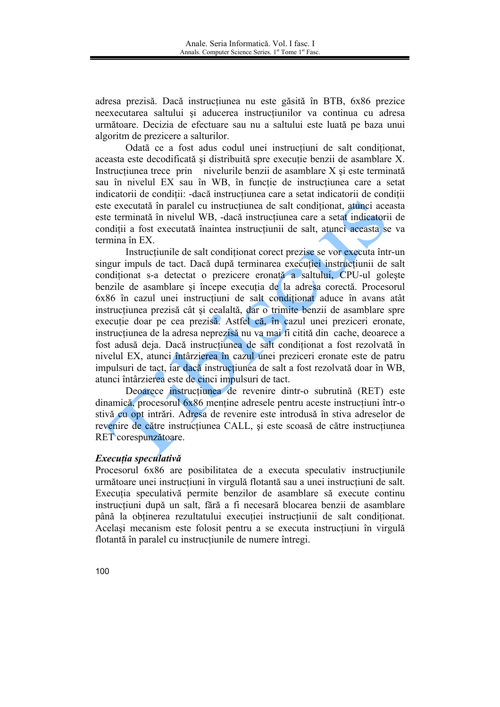adresa prezisă. Dacă instrucțiunea nu este găsită în BTB, 6x86 prezice neexecutarea saltului și aducerea instrucțiunilor va continua cu adresa următoare. Decizia de efectuare sau nu a saltului este luată pe baza unui algoritm de prezicere a salturilor.

Odată ce a fost adus codul unei instrucțiuni de salt conditionat, aceasta este decodificată și distribuită spre execuție benzii de asamblare X. Instructiunea trece prin nivelurile benzii de asamblare X și este terminată sau în nivelul EX sau în WB, în functie de instructiunea care a setat indicatorii de condiții: -dacă instrucțiunea care a setat indicatorii de condiții este executată în paralel cu instrucțiunea de salt condiționat, atunci aceasta este terminată în nivelul WB, -dacă instrucțiunea care a setat indicatorii de condiții a fost executată înaintea instrucțiunii de salt, atunci aceasta se va termina în EX.

Instructiunile de salt conditionat corect prezise se vor executa într-un singur impuls de tact. Dacă după terminarea executiei instructiunii de salt conditionat s-a detectat o prezicere eronată a saltului, CPU-ul goleste benzile de asamblare și începe executia de la adresa corectă. Procesorul 6x86 în cazul unei instrucțiuni de salt condiționat aduce în avans atât instructiunea prezisă cât și cealaltă, dar o trimite benzii de asamblare spre execuție doar pe cea prezisă. Astfel că, în cazul unei preziceri eronate, instrucțiunea de la adresa neprezisă nu va mai fi citită din cache, deoarece a fost adusă deja. Dacă instrucțiunea de salt conditionat a fost rezolvată în nivelul EX, atunci întârzierea în cazul unei preziceri eronate este de patru impulsuri de tact, iar daçă instructiunea de salt a fost rezolvată doar în WB, atunci întârzierea este de cinci impulsuri de tact.

Deoarece instructiunea de revenire dintr-o subrutină (RET) este dinamică, procesorul 6x86 menține adresele pentru aceste instrucțiuni într-o stivă cu opt intrări. Adresa de revenire este introdusă în stiva adreselor de revenire de către instructiunea CALL, și este scoasă de către instructiunea RET corespunzătoare.

#### Executia speculativă

Procesorul 6x86 are posibilitatea de a executa speculativ instrucțiunile următoare unei instrucțiuni în virgulă flotantă sau a unei instrucțiuni de salt. Executia speculativă permite benzilor de asamblare să execute continu instructiuni după un salt, fără a fi necesară blocarea benzii de asamblare până la obținerea rezultatului execuției instrucțiunii de salt condiționat. Acelasi mecanism este folosit pentru a se executa instructiuni în virgulă flotantă în paralel cu instrucțiunile de numere întregi.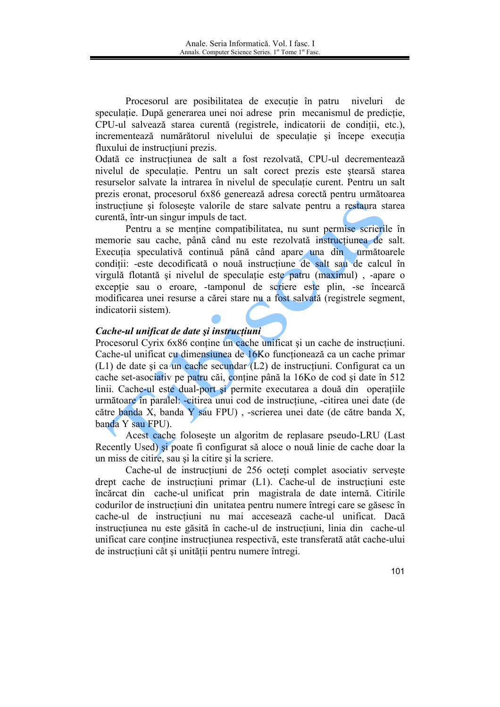Procesorul are posibilitatea de execuție în patru niveluri de speculatie. După generarea unei noi adrese prin mecanismul de predictie, CPU-ul salvează starea curentă (registrele, indicatorii de conditii, etc.), incrementează numărătorul nivelului de speculatie și începe executia fluxului de instrucțiuni prezis.

Odată ce instrucțiunea de salt a fost rezolvată, CPU-ul decrementează nivelul de speculatie. Pentru un salt corect prezis este stearsă starea resurselor salvate la intrarea în nivelul de speculatie curent. Pentru un salt prezis eronat, procesorul 6x86 generează adresa corectă pentru următoarea instrucțiune și folosește valorile de stare salvate pentru a restaura starea curentă, într-un singur impuls de tact.

Pentru a se mentine compatibilitatea, nu sunt permise scrierile în memorie sau cache, până când nu este rezolvată instrucțiunea de salt. Executia speculativă continuă până când apare una din următoarele conditii: -este decodificată o nouă instructiune de salt sau de calcul în virgulă flotantă și nivelul de speculație este patru (maximul), -apare o exceptie sau o eroare, -tamponul de scriere este plin, -se încearcă modificarea unei resurse a cărei stare nu a fost salvată (registrele segment, indicatorii sistem).

## Cache-ul unificat de date și instrucțiuni

Procesorul Cyrix 6x86 conține un cache unificat și un cache de instrucțiuni. Cache-ul unificat cu dimensiunea de 16Ko functionează ca un cache primar (L1) de date și ca un cache secundar (L2) de instructiuni. Configurat ca un cache set-asociativ pe patru căi, conține până la 16Ko de cod și date în 512 linii. Cache-ul este dual-port și permite executarea a două din operațiile următoare în paralel: -citirea unui cod de instrucțiune, -citirea unei date (de către banda X, banda Y sau FPU), -scrierea unei date (de către banda X, banda Y sau FPU).

Acest cache foloseste un algoritm de replasare pseudo-LRU (Last Recently Used) si poate fi configurat să aloce o nouă linie de cache doar la un miss de citire, sau si la citire si la scriere.

Cache-ul de instrucțiuni de 256 octeți complet asociativ servește drept cache de instrucțiuni primar (L1). Cache-ul de instrucțiuni este încărcat din cache-ul unificat prin magistrala de date internă. Citirile codurilor de instrucțiuni din unitatea pentru numere întregi care se găsesc în cache-ul de instructiuni nu mai accesează cache-ul unificat. Dacă instructiunea nu este găsită în cache-ul de instructiuni, linia din cache-ul unificat care contine instructiunea respectivă, este transferată atât cache-ului de instructiuni cât și unității pentru numere întregi.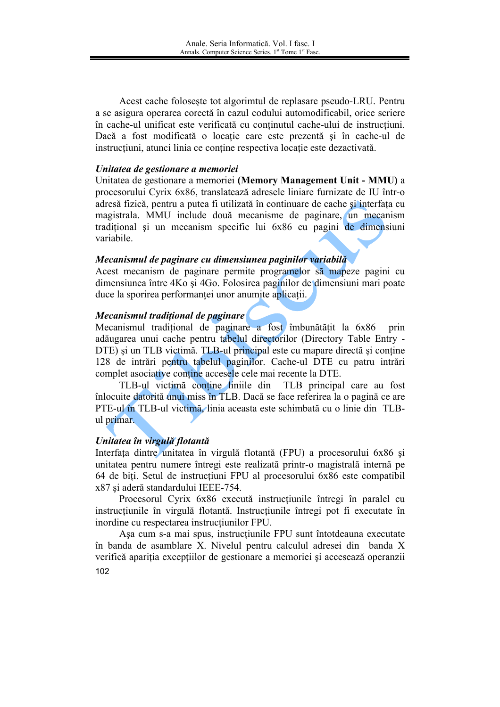Acest cache foloseste tot algorimtul de replasare pseudo-LRU. Pentru a se asigura operarea corectă în cazul codului automodificabil, orice scriere în cache-ul unificat este verificată cu continutul cache-ului de instructiuni. Dacă a fost modificată o locatie care este prezentă și în cache-ul de instructiuni, atunci linia ce contine respectiva locație este dezactivată.

### Unitatea de gestionare a memoriei

Unitatea de gestionare a memoriei (Memory Management Unit - MMU) a procesorului Cyrix 6x86, translatează adresele liniare furnizate de IU într-o adresă fizică, pentru a putea fi utilizată în continuare de cache și interfața cu magistrala. MMU include două mecanisme de paginare, un mecanism traditional și un mecanism specific lui 6x86 cu pagini de dimensiuni variabile

## Mecanismul de paginare cu dimensiunea paginilor variabilă

Acest mecanism de paginare permite programelor să mapeze pagini cu dimensiunea între 4Ko și 4Go. Folosirea paginilor de dimensiuni mari poate duce la sporirea performantei unor anumite aplicatii.

## Mecanismul tradițional de paginare

Mecanismul traditional de paginare a fost îmbunătățit la 6x86 prin adăugarea unui cache pentru tabelul directorilor (Directory Table Entry -DTE) si un TLB victimă. TLB-ul principal este cu mapare directă și contine 128 de intrări pentru tabelul paginilor. Cache-ul DTE cu patru intrări complet asociative contine accesele cele mai recente la DTE.

TLB-ul victimă conține liniile din TLB principal care au fost înlocuite datorită unui miss în TLB. Dacă se face referirea la o pagină ce are PTE-ul în TLB-ul victimă, linia aceasta este schimbată cu o linie din TLBul primar.

## Unitatea în virgulă flotantă

Interfața dintre unitatea în virgulă flotantă (FPU) a procesorului 6x86 și unitatea pentru numere întregi este realizată printr-o magistrală internă pe 64 de biti. Setul de instructiuni FPU al procesorului 6x86 este compatibil x87 și aderă standardului IEEE-754.

Procesorul Cyrix 6x86 execută instrucțiunile întregi în paralel cu instructiunile în virgulă flotantă. Instructiunile întregi pot fi executate în inordine cu respectarea instructiunilor FPU.

Așa cum s-a mai spus, instrucțiunile FPU sunt întotdeauna executate în banda de asamblare X. Nivelul pentru calculul adresei din banda X verifică apariția excepțiilor de gestionare a memoriei și accesează operanzii 102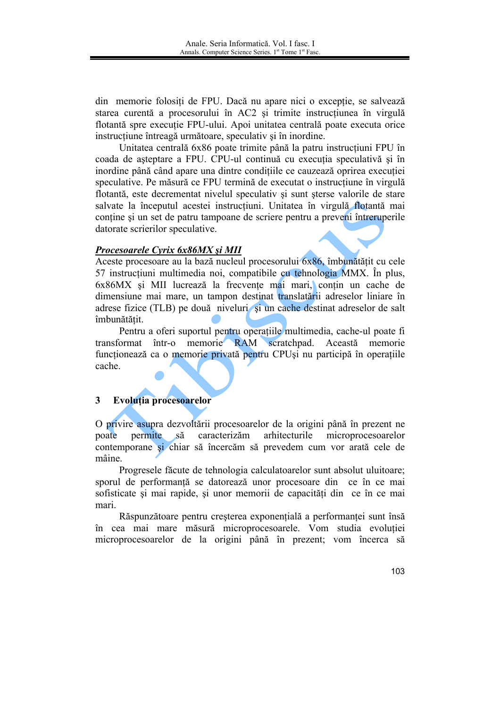din memorie folosiți de FPU. Dacă nu apare nici o excepție, se salvează starea curentă a procesorului în AC2 și trimite instrucțiunea în virgulă flotantă spre executie FPU-ului. Apoi unitatea centrală poate executa orice instructiune întreagă următoare, speculativ și în inordine.

Unitatea centrală 6x86 poate trimite până la patru instrucțiuni FPU în coada de așteptare a FPU. CPU-ul continuă cu execuția speculativă și în inordine până când apare una dintre conditiile ce cauzează oprirea executiei speculative. Pe măsură ce FPU termină de executat o instructiune în virgulă flotantă, este decrementat nivelul speculativ și sunt sterse valorile de stare salvate la începutul acestei instrucțiuni. Unitatea în virgulă flotantă mai contine si un set de patru tampoane de scriere pentru a preveni întreruperile datorate scrierilor speculative.

## Procesoarele Cyrix 6x86MX și MII

Aceste procesoare au la bază nucleul procesorului 6x86, îmbunătățit cu cele 57 instrucțiuni multimedia noi, compatibile cu tehnologia MMX. În plus, 6x86MX și MII lucrează la frecvente mai mari, contin un cache de dimensiune mai mare, un tampon destinat translatării adreselor liniare în adrese fizice (TLB) pe două niveluri și un cache destinat adreselor de salt îmbunătătit.

Pentru a oferi suportul pentru operațiile multimedia, cache-ul poate fi transformat într-o memorie RAM scratchpad. Această memorie funcționează ca o memorie privată pentru CPUși nu participă în operațiile cache

#### 3 Evoluția procesoarelor

O privire asupra dezvoltării procesoarelor de la origini până în prezent ne poate permite să caracterizăm arhitecturile microprocesoarelor contemporane și chiar să încercăm să prevedem cum vor arată cele de mâine.

Progresele făcute de tehnologia calculatoarelor sunt absolut uluitoare; sporul de performanță se datorează unor procesoare din ce în ce mai sofisticate si mai rapide, si unor memorii de capacităti din ce în ce mai mari

Răspunzătoare pentru creșterea exponențială a performanței sunt însă în cea mai mare măsură microprocesoarele. Vom studia evoluției microprocesoarelor de la origini până în prezent; vom încerca să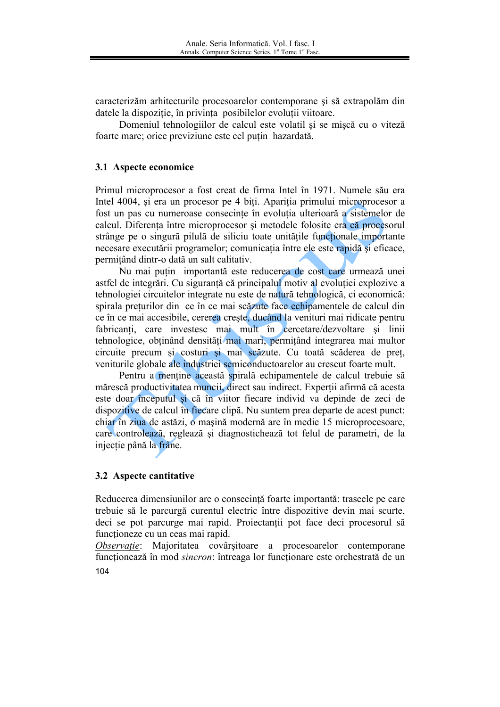caracterizăm arhitecturile procesoarelor contemporane și să extrapolăm din datele la dispozitie, în privința posibilelor evoluții viitoare.

Domeniul tehnologiilor de calcul este volatil si se miscă cu o viteză foarte mare; orice previziune este cel putin hazardată.

## 3.1 Aspecte economice

Primul microprocesor a fost creat de firma Intel în 1971. Numele său era Intel 4004, și era un procesor pe 4 biți. Apariția primului microprocesor a fost un pas cu numeroase consecințe în evoluția ulterioară a sistemelor de calcul. Diferenta între microprocesor și metodele folosite era că procesorul strânge pe o singură pilulă de siliciu toate unitătile functionale importante necesare executării programelor; comunicația între ele este rapidă și eficace, permitând dintr-o dată un salt calitativ.

Nu mai putin importantă este reducerea de cost care urmează unei astfel de integrări. Cu siguranță că principalul motiv al evoluției explozive a tehnologiei circuitelor integrate nu este de natură tehnologică, ci economică: spirala preturilor din ce în ce mai scăzute face echipamentele de calcul din ce în ce mai accesibile, cererea crește, ducând la venituri mai ridicate pentru fabricanți, care investesc mai mult în cercetare/dezvoltare și linii tehnologice, obtinând densități mai mari, permitând integrarea mai multor circuite precum și costuri și mai scăzute. Cu toată scăderea de preț veniturile globale ale industriei semiconductoarelor au crescut foarte mult.

Pentru a menține această spirală echipamentele de calcul trebuie să mărescă productivitatea muncii, direct sau indirect. Experții afirmă că acesta este doar începutul și că în viitor fiecare individ va depinde de zeci de dispozitive de calcul în fiecare clipă. Nu suntem prea departe de acest punct: chiar în ziua de astăzi, o mașină modernă are în medie 15 microprocesoare, care controlează, reglează și diagnostichează tot felul de parametri, de la injecție până la frâne.

## 3.2 Aspecte cantitative

Reducerea dimensiunilor are o consecință foarte importantă: traseele pe care trebuie să le parcurgă curentul electric între dispozitive devin mai scurte. deci se pot parcurge mai rapid. Projectantii pot face deci procesorul să funcționeze cu un ceas mai rapid.

Observație: Majoritatea covârșitoare a procesoarelor contemporane funcționează în mod sincron: întreaga lor funcționare este orchestrată de un 104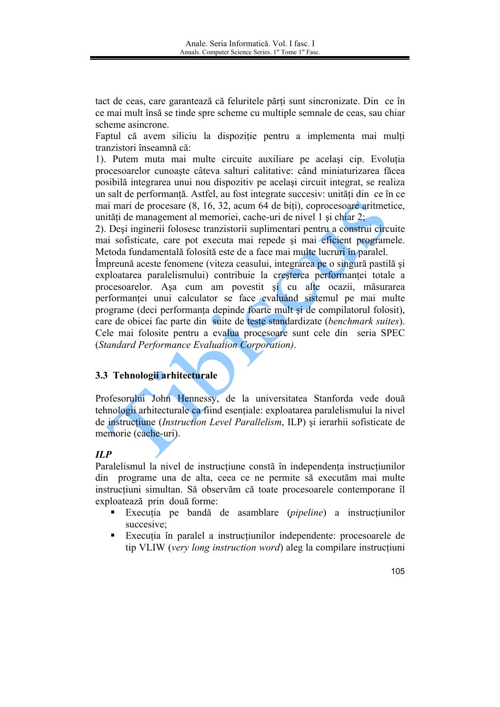tact de ceas, care garantează că feluritele părți sunt sincronizate. Din ce în ce mai mult însă se tinde spre scheme cu multiple semnale de ceas, sau chiar scheme asincrone.

Faptul că avem siliciu la dispoziție pentru a implementa mai multi tranzistori înseamnă că:

1). Putem muta mai multe circuite auxiliare pe același cip. Evoluția procesoarelor cunoaste câteva salturi calitative: când miniaturizarea făcea posibilă integrarea unui nou dispozitiv pe același circuit integrat, se realiza un salt de performantă. Astfel, au fost integrate succesiv: unități din ce în ce mai mari de procesare (8, 16, 32, acum 64 de biți), coprocesoare aritmetice, unităti de management al memoriei, cache-uri de nivel 1 si chiar 2;

2). Deși inginerii folosesc tranzistorii suplimentari pentru a construi circuite mai sofisticate, care pot executa mai repede si mai eficient programele. Metoda fundamentală folosită este de a face mai multe lucruri în paralel.

Împreună aceste fenomene (viteza ceasului, integrarea pe o singură pastilă și exploatarea paralelismului) contribuie la cresterea performantei totale a procesoarelor. Așa cum am povestit și cu alte ocazii, măsurarea performanței unui calculator se face evaluând sistemul pe mai multe programe (deci performanta depinde foarte mult si de compilatorul folosit), care de obicei fac parte din suite de teste standardizate (benchmark suites). Cele mai folosite pentru a evalua procesoare sunt cele din seria SPEC (Standard Performance Evaluation Corporation).

## 3.3 Tehnologii arhitecturale

Profesorului John Hennessy, de la universitatea Stanforda vede două tehnologii arhitecturale ca fiind esentiale: exploatarea paralelismului la nivel de instructiune (Instruction Level Parallelism, ILP) și ierarhii sofisticate de memorie (cache-uri).

## $ILP$

Paralelismul la nivel de instructiune constă în independența instructiunilor din programe una de alta, ceea ce ne permite să executăm mai multe instrucțiuni simultan. Să observăm că toate procesoarele contemporane îl exploatează prin două forme:

- Executia pe bandă de asamblare (*pipeline*) a instructiunilor succesive:
- Executia în paralel a instructiunilor independente: procesoarele de  $\mathbf{R}^{(1)}$ tip VLIW (very long instruction word) aleg la compilare instructiuni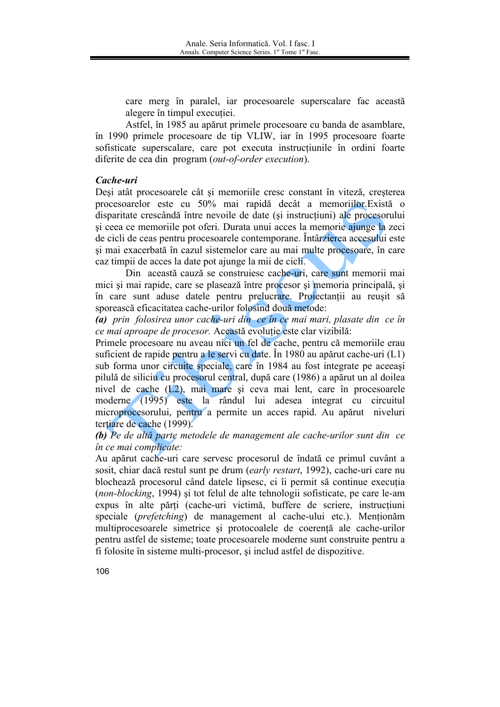care merg în paralel, iar procesoarele superscalare fac această alegere în timpul executiei.

Astfel, în 1985 au apărut primele procesoare cu banda de asamblare. în 1990 primele procesoare de tip VLIW, iar în 1995 procesoare foarte sofisticate superscalare, care pot executa instructiunile în ordini foarte diferite de cea din program (out-of-order execution).

## Cache-uri

Deși atât procesoarele cât și memoriile cresc constant în viteză, creșterea procesoarelor este cu 50% mai rapidă decât a memoriilor. Există o disparitate crescândă între nevoile de date (și instrucțiuni) ale procesorului și ceea ce memoriile pot oferi. Durata unui acces la memorie ajunge la zeci de cicli de ceas pentru procesoarele contemporane. Întârzierea accesului este si mai exacerbată în cazul sistemelor care au mai multe procesoare, în care caz timpii de acces la date pot ajunge la mii de cicli.

Din această cauză se construiesc cache-uri, care sunt memorii mai mici și mai rapide, care se plasează între procesor și memoria principală, și în care sunt aduse datele pentru prelucrare. Projectantii au reusit să sporească eficacitatea cache-urilor folosind două metode:

(a) prin folosirea unor cache-uri din ce în ce mai mari, plasate din ce în ce mai aproape de procesor. Această evoluție este clar vizibilă:

Primele procesoare nu aveau nici un fel de cache, pentru că memoriile erau suficient de rapide pentru a le servi cu date. În 1980 au apărut cache-uri (L1) sub forma unor circuite speciale, care în 1984 au fost integrate pe aceeasi pilulă de siliciu cu procesorul central, după care (1986) a apărut un al doilea nivel de cache (L2), mai mare și ceva mai lent, care în procesoarele moderne (1995) este la rândul lui adesea integrat cu circuitul microprocesorului, pentru a permite un acces rapid. Au apărut niveluri tertiare de cache (1999).

(b) Pe de altă parte metodele de management ale cache-urilor sunt din ce în ce mai complicate:

Au apărut cache-uri care servesc procesorul de îndată ce primul cuvânt a sosit, chiar dacă restul sunt pe drum (early restart, 1992), cache-uri care nu blochează procesorul când datele lipsesc, ci îi permit să continue execuția *(non-blocking, 1994)* si tot felul de alte tehnologii sofisticate, pe care le-am expus în alte părți (cache-uri victimă, buffere de scriere, instrucțiuni speciale (*prefetching*) de management al cache-ului etc.). Menționăm multiprocesoarele simetrice si protocoalele de coerentă ale cache-urilor pentru astfel de sisteme; toate procesoarele moderne sunt construite pentru a fi folosite în sisteme multi-procesor, și includ astfel de dispozitive.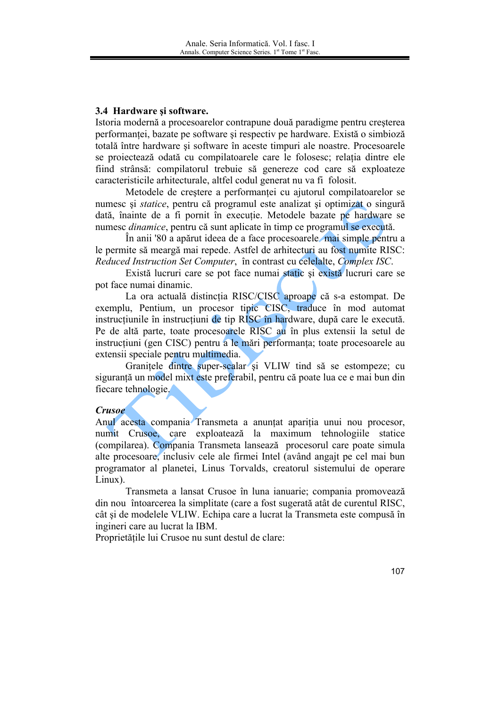## 3.4 Hardware si software.

Istoria modernă a procesoarelor contrapune două paradigme pentru creșterea performantei, bazate pe software si respectiv pe hardware. Există o simbioză totală între hardware și software în aceste timpuri ale noastre. Procesoarele se projectează odată cu compilatoarele care le folosesc; relatia dintre ele fiind strânsă: compilatorul trebuie să genereze cod care să exploateze caracteristicile arhitecturale, altfel codul generat nu va fi folosit.

Metodele de creștere a performanței cu ajutorul compilatoarelor se numesc și statice, pentru că programul este analizat și optimizat o singură dată, înainte de a fi pornit în execuție. Metodele bazate pe hardware se numesc *dinamice*, pentru că sunt aplicate în timp ce programul se execută.

În anii '80 a apărut ideea de a face procesoarele mai simple pentru a le permite să meargă mai repede. Astfel de arhitecturi au fost numite RISC: Reduced Instruction Set Computer, în contrast cu celelalte, Complex ISC.

Există lucruri care se pot face numai static și există lucruri care se pot face numai dinamic.

La ora actuală distincția RISC/CISC aproape că s-a estompat. De exemplu. Pentium, un procesor tipic CISC, traduce în mod automat instructiunile în instructiuni de tip RISC în hardware, după care le execută. Pe de altă parte, toate procesoarele RISC au în plus extensii la setul de instrucțiuni (gen CISC) pentru a le mări performanța; toate procesoarele au extensii speciale pentru multimedia.

Granitele dintre super-scalar și VLIW tind să se estompeze; cu siguranță un model mixt este preferabil, pentru că poate lua ce e mai bun din fiecare tehnologie.

#### **Crusoe**

Anul acesta compania Transmeta a anuntat aparitia unui nou procesor, numit Crusoe, care exploatează la maximum tehnologiile statice (compilarea). Compania Transmeta lansează procesorul care poate simula alte procesoare, inclusiv cele ale firmei Intel (având angait pe cel mai bun programator al planetei. Linus Torvalds, creatorul sistemului de operare Linux).

Transmeta a lansat Crusoe în luna ianuarie; compania promovează din nou întoarcerea la simplitate (care a fost sugerată atât de curentul RISC, cât și de modelele VLIW. Echipa care a lucrat la Transmeta este compusă în ingineri care au lucrat la IBM.

Proprietățile lui Crusoe nu sunt destul de clare: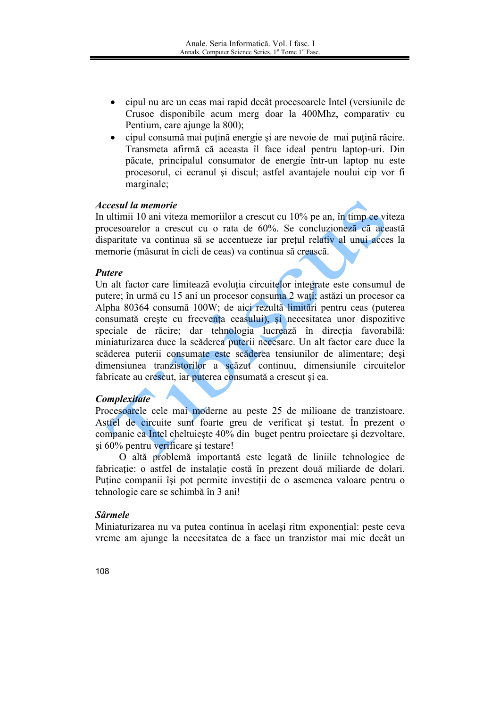- cipul nu are un ceas mai rapid decât procesoarele Intel (versiunile de Crusoe disponibile acum merg doar la 400Mhz, comparativ cu Pentium, care ajunge la 800);
- cipul consumă mai puțină energie și are nevoie de mai puțină răcire. Transmeta afirmă că aceasta îl face ideal pentru laptop-uri. Din păcate, principalul consumator de energie într-un laptop nu este procesorul, ci ecranul si discul; astfel avantajele noului cip vor fi marginale;

### Accesul la memorie

In ultimii 10 ani viteza memoriilor a crescut cu 10% pe an. în timp ce viteza procesoarelor a crescut cu o rata de 60%. Se concluzioneză că această disparitate va continua să se accentueze iar prețul relativ al unui acces la memorie (măsurat în cicli de ceas) va continua să crească.

### **Putere**

Un alt factor care limitează evoluția circuitelor integrate este consumul de putere; în urmă cu 15 ani un procesor consuma 2 wați; astăzi un procesor ca Alpha 80364 consumă 100W; de aici rezultă limitări pentru ceas (puterea consumată creste cu frecventa ceasului), si necesitatea unor dispozitive speciale de răcire; dar tehnologia lucrează în direcția favorabilă: miniaturizarea duce la scăderea puterii necesare. Un alt factor care duce la scăderea puterii consumate este scăderea tensiunilor de alimentare; desi dimensiunea tranzistorilor a scăzut continuu, dimensiunile circuitelor fabricate au crescut, iar puterea consumată a crescut și ea.

## **Complexitate**

Procesoarele cele mai moderne au peste 25 de milioane de tranzistoare. Astfel de circuite sunt foarte greu de verificat și testat. În prezent o companie ca Intel cheltuiește 40% din buget pentru proiectare și dezvoltare, si 60% pentru verificare si testare!

O altă problemă importantă este legată de liniile tehnologice de fabricație: o astfel de instalație costă în prezent două miliarde de dolari. Puține companii își pot permite investiții de o asemenea valoare pentru o tehnologie care se schimbă în 3 ani!

## **Sârmele**

Miniaturizarea nu va putea continua în același ritm exponențial: peste ceva vreme am ajunge la necesitatea de a face un tranzistor mai mic decât un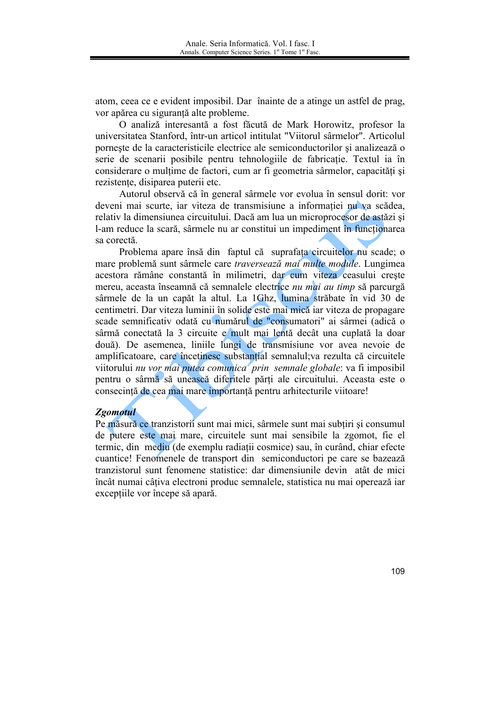atom, ceea ce e evident imposibil. Dar înainte de a atinge un astfel de prag, vor apărea cu siguranță alte probleme.

O analiză interesantă a fost făcută de Mark Horowitz, profesor la universitatea Stanford, într-un articol intitulat "Viitorul sârmelor". Articolul porneste de la caracteristicile electrice ale semiconductorilor si analizează o serie de scenarii posibile pentru tehnologiile de fabricație. Textul ia în considerare o multime de factori, cum ar fi geometria sârmelor, capacități și rezistente, disiparea puterii etc.

Autorul observă că în general sârmele vor evolua în sensul dorit: vor deveni mai scurte, iar viteza de transmisiune a informației nu va scădea, relativ la dimensiunea circuitului. Dacă am lua un microprocesor de astăzi și l-am reduce la scară, sârmele nu ar constitui un impediment în funcționarea sa corectă.

Problema apare însă din faptul că suprafața circuitelor nu scade; o mare problemă sunt sârmele care traversează mai multe module. Lungimea acestora rămâne constantă în milimetri, dar cum viteza ceasului creste mereu, aceasta înseamnă că semnalele electrice nu mai au timp să parcurgă sârmele de la un capăt la altul. La 1Ghz, lumina străbate în vid 30 de centimetri. Dar viteza luminii în solide este mai mică iar viteza de propagare scade semnificativ odată cu numărul de "consumatori" ai sârmei (adică o sârmă conectată la 3 circuite e mult mai lentă decât una cuplată la doar două). De asemenea, liniile lungi de transmisiune vor avea nevoie de amplificatoare, care încetinesc substantial semnalul; va rezulta că circuitele viitorului nu vor mai putea comunica prin semnale globale: va fi imposibil pentru o sârmă să unească diferitele părți ale circuitului. Aceasta este o consecintă de cea mai mare importantă pentru arhitecturile viitoare!

#### **Zgomotul**

Pe măsură ce tranzistorii sunt mai mici, sârmele sunt mai subțiri și consumul de putere este mai mare, circuitele sunt mai sensibile la zgomot, fie el termic, din mediu (de exemplu radiatii cosmice) sau, în curând, chiar efecte cuantice! Fenomenele de transport din semiconductori pe care se bazează tranzistorul sunt fenomene statistice: dar dimensiunile devin atât de mici încât numai câțiva electroni produc semnalele, statistica nu mai operează iar exceptiile vor începe să apară.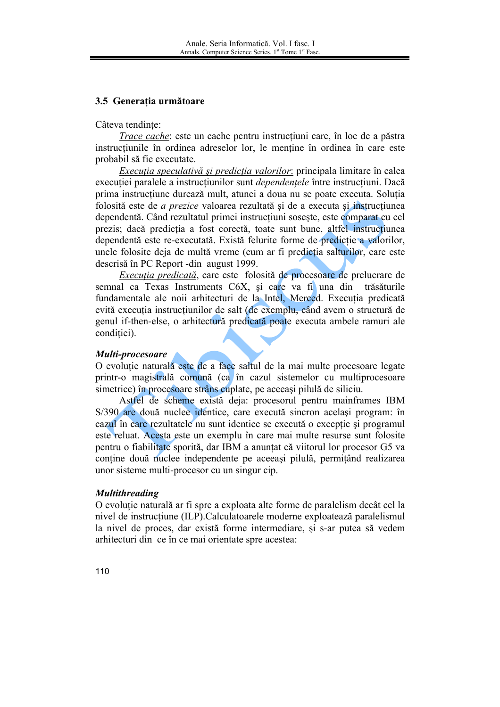## 3.5 Generatia următoare

#### Câteva tendinte:

*Trace cache:* este un cache pentru instructiuni care, în loc de a păstra instructiunile în ordinea adreselor lor, le mentine în ordinea în care este probabil să fie executate.

Execuția speculativă și predicția valorilor: principala limitare în calea execuției paralele a instrucțiunilor sunt *dependențele* între instrucțiuni. Dacă prima instructiune durează mult, atunci a doua nu se poate executa. Soluția folosită este de *a prezice* valoarea rezultată și de a executa și instrucțiunea dependentă. Când rezultatul primei instrucțiuni sosește, este comparat cu cel prezis; dacă predicția a fost corectă, toate sunt bune, altfel instrucțiunea dependentă este re-executată. Există felurite forme de predictie a valorilor, unele folosite deja de multă vreme (cum ar fi predictia salturilor, care este descrisă în PC Report -din august 1999.

Executia predicată, care este folosită de procesoare de prelucrare de semnal ca Texas Instruments C6X, și care va fi una din trăsăturile fundamentale ale noii arhitecturi de la Intel, Merced. Execuția predicată evită executia instructiunilor de salt (de exemplu, când avem o structură de genul if-then-else, o arhitectură predicată poate executa ambele ramuri ale condiției).

#### Multi-procesoare

O evolutie naturală este de a face saltul de la mai multe procesoare legate printr-o magistrală comună (ca în cazul sistemelor cu multiprocesoare simetrice) în procesoare strâns cuplate, pe aceeași pilulă de siliciu.

Astfel de scheme există deja: procesorul pentru mainframes IBM S/390 are două nuclee identice, care execută sincron acelasi program: în cazul în care rezultatele nu sunt identice se execută o exceptie și programul este reluat. Acesta este un exemplu în care mai multe resurse sunt folosite pentru o fiabilitate sporită, dar IBM a anuntat că viitorul lor procesor G5 va contine două nuclee independente pe aceeași pilulă, permitând realizarea unor sisteme multi-procesor cu un singur cip.

#### **Multithreading**

O evoluție naturală ar fi spre a exploata alte forme de paralelism decât cel la nivel de instrucțiune (ILP).Calculatoarele moderne exploatează paralelismul la nivel de proces, dar există forme intermediare, si s-ar putea să vedem arhitecturi din ce în ce mai orientate spre acestea: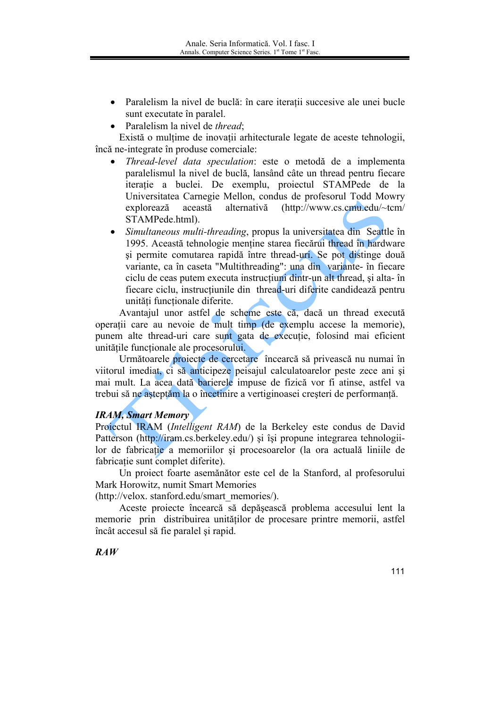- Paralelism la nivel de buclă: în care iteratii succesive ale unei bucle sunt executate în paralel.
- Paralelism la nivel de *thread*:

Există o mulțime de inovații arhitecturale legate de aceste tehnologii, încă ne-integrate în produse comerciale:

- Thread-level data speculation: este o metodă de a implementa paralelismul la nivel de buclă, lansând câte un thread pentru fiecare iteratie a buclei. De exemplu, proiectul STAMPede de la Universitatea Carnegie Mellon, condus de profesorul Todd Mowry  $(http://www.cs.cmu.edu/~tcm/$ explorează această alternativă STAMPede.html).
- Simultaneous multi-threading, propus la universitatea din Seattle în 1995. Această tehnologie menține starea fiecărui thread în hardware și permite comutarea rapidă între thread-uri. Se pot distinge două variante, ca în caseta "Multithreading": una din variante- în fiecare ciclu de ceas putem executa instructium dintr-un alt thread, si alta- în fiecare ciclu, instructiunile din thread-uri diferite candidează pentru unități functionale diferite.

Avantajul unor astfel de scheme este că, dacă un thread execută operații care au nevoie de mult timp (de exemplu accese la memorie), punem alte thread-uri care sunt gata de executie, folosind mai eficient unitățile functionale ale procesorului.

Următoarele proiecte de cercetare încearcă să privească nu numai în viitorul imediat, ci să anticipeze peisajul calculatoarelor peste zece ani și mai mult. La acea dată barierele impuse de fizică vor fi atinse, astfel va trebui să ne așteptăm la o încetinire a vertiginoasei creșteri de performanță.

## **IRAM, Smart Memory**

Projectul IRAM (Intelligent RAM) de la Berkeley este condus de David Patterson (http://iram.cs.berkeley.edu/) si îsi propune integrarea tehnologiilor de fabricatie a memoriilor și procesoarelor (la ora actuală liniile de fabricație sunt complet diferite).

Un proiect foarte asemănător este cel de la Stanford, al profesorului Mark Horowitz, numit Smart Memories

(http://velox.stanford.edu/smart memories/).

Aceste proiecte încearcă să depășească problema accesului lent la memorie prin distribuirea unitătilor de procesare printre memorii, astfel încât accesul să fie paralel și rapid.

## $RAW$